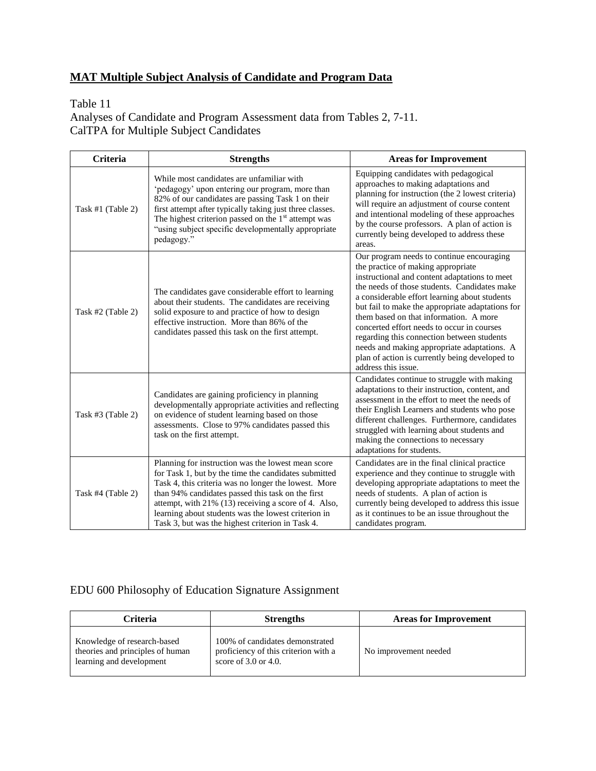#### **MAT Multiple Subject Analysis of Candidate and Program Data**

#### Table 11

Analyses of Candidate and Program Assessment data from Tables 2, 7-11. CalTPA for Multiple Subject Candidates

| <b>Criteria</b>     | <b>Strengths</b>                                                                                                                                                                                                                                                                                                                                                                           | <b>Areas for Improvement</b>                                                                                                                                                                                                                                                                                                                                                                                                                                                                                                                        |
|---------------------|--------------------------------------------------------------------------------------------------------------------------------------------------------------------------------------------------------------------------------------------------------------------------------------------------------------------------------------------------------------------------------------------|-----------------------------------------------------------------------------------------------------------------------------------------------------------------------------------------------------------------------------------------------------------------------------------------------------------------------------------------------------------------------------------------------------------------------------------------------------------------------------------------------------------------------------------------------------|
| Task #1 $(Table 2)$ | While most candidates are unfamiliar with<br>'pedagogy' upon entering our program, more than<br>82% of our candidates are passing Task 1 on their<br>first attempt after typically taking just three classes.<br>The highest criterion passed on the $1st$ attempt was<br>"using subject specific developmentally appropriate<br>pedagogy."                                                | Equipping candidates with pedagogical<br>approaches to making adaptations and<br>planning for instruction (the 2 lowest criteria)<br>will require an adjustment of course content<br>and intentional modeling of these approaches<br>by the course professors. A plan of action is<br>currently being developed to address these<br>areas.                                                                                                                                                                                                          |
| Task #2 (Table 2)   | The candidates gave considerable effort to learning<br>about their students. The candidates are receiving<br>solid exposure to and practice of how to design<br>effective instruction. More than 86% of the<br>candidates passed this task on the first attempt.                                                                                                                           | Our program needs to continue encouraging<br>the practice of making appropriate<br>instructional and content adaptations to meet<br>the needs of those students. Candidates make<br>a considerable effort learning about students<br>but fail to make the appropriate adaptations for<br>them based on that information. A more<br>concerted effort needs to occur in courses<br>regarding this connection between students<br>needs and making appropriate adaptations. A<br>plan of action is currently being developed to<br>address this issue. |
| Task #3 (Table 2)   | Candidates are gaining proficiency in planning<br>developmentally appropriate activities and reflecting<br>on evidence of student learning based on those<br>assessments. Close to 97% candidates passed this<br>task on the first attempt.                                                                                                                                                | Candidates continue to struggle with making<br>adaptations to their instruction, content, and<br>assessment in the effort to meet the needs of<br>their English Learners and students who pose<br>different challenges. Furthermore, candidates<br>struggled with learning about students and<br>making the connections to necessary<br>adaptations for students.                                                                                                                                                                                   |
| Task #4 (Table 2)   | Planning for instruction was the lowest mean score<br>for Task 1, but by the time the candidates submitted<br>Task 4, this criteria was no longer the lowest. More<br>than 94% candidates passed this task on the first<br>attempt, with 21% (13) receiving a score of 4. Also,<br>learning about students was the lowest criterion in<br>Task 3, but was the highest criterion in Task 4. | Candidates are in the final clinical practice<br>experience and they continue to struggle with<br>developing appropriate adaptations to meet the<br>needs of students. A plan of action is<br>currently being developed to address this issue<br>as it continues to be an issue throughout the<br>candidates program.                                                                                                                                                                                                                               |

#### EDU 600 Philosophy of Education Signature Assignment

| Criteria                                                                                    | <b>Strengths</b>                                                                                     | <b>Areas for Improvement</b> |
|---------------------------------------------------------------------------------------------|------------------------------------------------------------------------------------------------------|------------------------------|
| Knowledge of research-based<br>theories and principles of human<br>learning and development | 100% of candidates demonstrated<br>proficiency of this criterion with a<br>score of $3.0$ or $4.0$ . | No improvement needed        |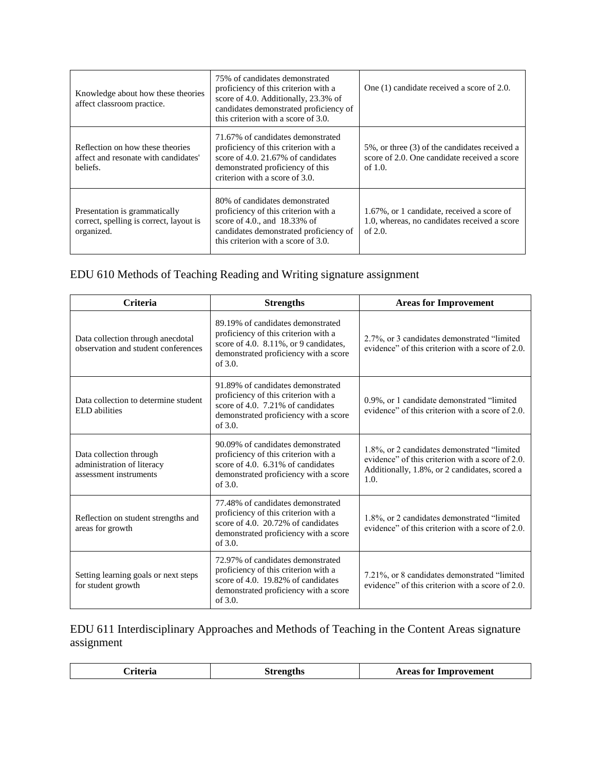| Knowledge about how these theories<br>affect classroom practice.                       | 75% of candidates demonstrated<br>proficiency of this criterion with a<br>score of 4.0. Additionally, 23.3% of<br>candidates demonstrated proficiency of<br>this criterion with a score of 3.0. | One (1) candidate received a score of 2.0.                                                                  |
|----------------------------------------------------------------------------------------|-------------------------------------------------------------------------------------------------------------------------------------------------------------------------------------------------|-------------------------------------------------------------------------------------------------------------|
| Reflection on how these theories<br>affect and resonate with candidates'<br>beliefs.   | 71.67% of candidates demonstrated<br>proficiency of this criterion with a<br>score of $4.0$ , $21.67\%$ of candidates<br>demonstrated proficiency of this<br>criterion with a score of 3.0.     | 5%, or three (3) of the candidates received a<br>score of 2.0. One candidate received a score<br>of $1.0$ . |
| Presentation is grammatically<br>correct, spelling is correct, layout is<br>organized. | 80% of candidates demonstrated<br>proficiency of this criterion with a<br>score of 4.0., and $18.33\%$ of<br>candidates demonstrated proficiency of<br>this criterion with a score of 3.0.      | 1.67%, or 1 candidate, received a score of<br>1.0, whereas, no candidates received a score<br>of $2.0$ .    |

#### EDU 610 Methods of Teaching Reading and Writing signature assignment

| <b>Criteria</b>                                                                 | <b>Strengths</b>                                                                                                                                                          | <b>Areas for Improvement</b>                                                                                                                             |
|---------------------------------------------------------------------------------|---------------------------------------------------------------------------------------------------------------------------------------------------------------------------|----------------------------------------------------------------------------------------------------------------------------------------------------------|
| Data collection through anecdotal<br>observation and student conferences        | 89.19% of candidates demonstrated<br>proficiency of this criterion with a<br>score of 4.0. 8.11%, or 9 candidates,<br>demonstrated proficiency with a score<br>of $3.0$ . | 2.7%, or 3 candidates demonstrated "limited"<br>evidence" of this criterion with a score of 2.0.                                                         |
| Data collection to determine student<br><b>ELD</b> abilities                    | 91.89% of candidates demonstrated<br>proficiency of this criterion with a<br>score of 4.0. $7.21\%$ of candidates<br>demonstrated proficiency with a score<br>of $3.0$ .  | 0.9%, or 1 candidate demonstrated "limited"<br>evidence" of this criterion with a score of 2.0.                                                          |
| Data collection through<br>administration of literacy<br>assessment instruments | 90.09% of candidates demonstrated<br>proficiency of this criterion with a<br>score of 4.0. $6.31\%$ of candidates<br>demonstrated proficiency with a score<br>of $3.0$ .  | 1.8%, or 2 candidates demonstrated "limited<br>evidence" of this criterion with a score of 2.0.<br>Additionally, 1.8%, or 2 candidates, scored a<br>1.0. |
| Reflection on student strengths and<br>areas for growth                         | 77.48% of candidates demonstrated<br>proficiency of this criterion with a<br>score of 4.0. 20.72% of candidates<br>demonstrated proficiency with a score<br>of $3.0$ .    | 1.8%, or 2 candidates demonstrated "limited<br>evidence" of this criterion with a score of 2.0.                                                          |
| Setting learning goals or next steps<br>for student growth                      | 72.97% of candidates demonstrated<br>proficiency of this criterion with a<br>score of 4.0. 19.82% of candidates<br>demonstrated proficiency with a score<br>of $3.0$ .    | 7.21%, or 8 candidates demonstrated "limited"<br>evidence" of this criterion with a score of 2.0.                                                        |

### EDU 611 Interdisciplinary Approaches and Methods of Teaching in the Content Areas signature assignment

|  | `riteria | <b>Strengths</b> | <b>Areas for Improvement</b> |
|--|----------|------------------|------------------------------|
|--|----------|------------------|------------------------------|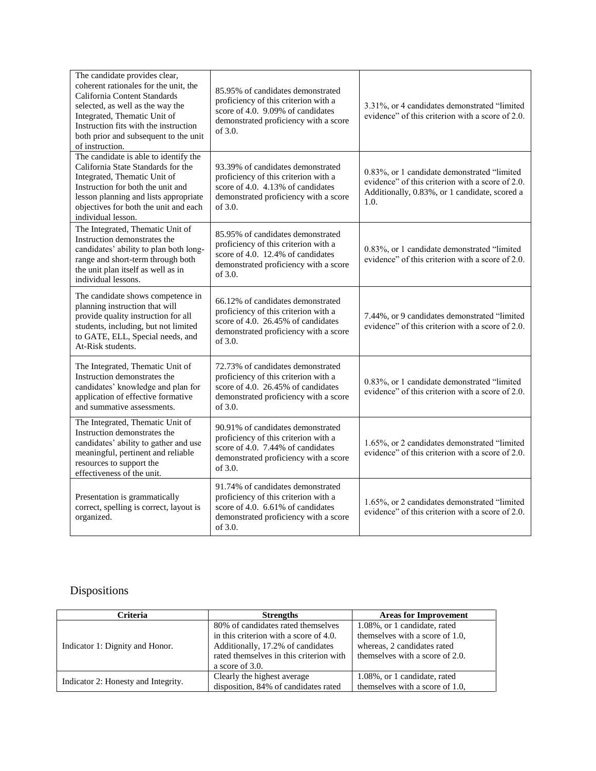| The candidate provides clear,<br>coherent rationales for the unit, the<br>California Content Standards<br>selected, as well as the way the<br>Integrated, Thematic Unit of<br>Instruction fits with the instruction<br>both prior and subsequent to the unit<br>of instruction. | 85.95% of candidates demonstrated<br>proficiency of this criterion with a<br>score of 4.0. 9.09% of candidates<br>demonstrated proficiency with a score<br>of 3.0.     | 3.31%, or 4 candidates demonstrated "limited<br>evidence" of this criterion with a score of 2.0.                                                         |
|---------------------------------------------------------------------------------------------------------------------------------------------------------------------------------------------------------------------------------------------------------------------------------|------------------------------------------------------------------------------------------------------------------------------------------------------------------------|----------------------------------------------------------------------------------------------------------------------------------------------------------|
| The candidate is able to identify the<br>California State Standards for the<br>Integrated, Thematic Unit of<br>Instruction for both the unit and<br>lesson planning and lists appropriate<br>objectives for both the unit and each<br>individual lesson.                        | 93.39% of candidates demonstrated<br>proficiency of this criterion with a<br>score of 4.0. 4.13% of candidates<br>demonstrated proficiency with a score<br>of 3.0.     | 0.83%, or 1 candidate demonstrated "limited<br>evidence" of this criterion with a score of 2.0.<br>Additionally, 0.83%, or 1 candidate, scored a<br>1.0. |
| The Integrated, Thematic Unit of<br>Instruction demonstrates the<br>candidates' ability to plan both long-<br>range and short-term through both<br>the unit plan itself as well as in<br>individual lessons.                                                                    | 85.95% of candidates demonstrated<br>proficiency of this criterion with a<br>score of 4.0. 12.4% of candidates<br>demonstrated proficiency with a score<br>of 3.0.     | 0.83%, or 1 candidate demonstrated "limited<br>evidence" of this criterion with a score of 2.0.                                                          |
| The candidate shows competence in<br>planning instruction that will<br>provide quality instruction for all<br>students, including, but not limited<br>to GATE, ELL, Special needs, and<br>At-Risk students.                                                                     | 66.12% of candidates demonstrated<br>proficiency of this criterion with a<br>score of 4.0. 26.45% of candidates<br>demonstrated proficiency with a score<br>of $3.0$ . | 7.44%, or 9 candidates demonstrated "limited"<br>evidence" of this criterion with a score of 2.0.                                                        |
| The Integrated, Thematic Unit of<br>Instruction demonstrates the<br>candidates' knowledge and plan for<br>application of effective formative<br>and summative assessments.                                                                                                      | 72.73% of candidates demonstrated<br>proficiency of this criterion with a<br>score of 4.0. 26.45% of candidates<br>demonstrated proficiency with a score<br>of 3.0.    | 0.83%, or 1 candidate demonstrated "limited<br>evidence" of this criterion with a score of 2.0.                                                          |
| The Integrated, Thematic Unit of<br>Instruction demonstrates the<br>candidates' ability to gather and use<br>meaningful, pertinent and reliable<br>resources to support the<br>effectiveness of the unit.                                                                       | 90.91% of candidates demonstrated<br>proficiency of this criterion with a<br>score of 4.0. 7.44% of candidates<br>demonstrated proficiency with a score<br>of 3.0.     | 1.65%, or 2 candidates demonstrated "limited<br>evidence" of this criterion with a score of 2.0.                                                         |
| Presentation is grammatically<br>correct, spelling is correct, layout is<br>organized.                                                                                                                                                                                          | 91.74% of candidates demonstrated<br>proficiency of this criterion with a<br>score of 4.0. 6.61% of candidates<br>demonstrated proficiency with a score<br>of 3.0.     | 1.65%, or 2 candidates demonstrated "limited<br>evidence" of this criterion with a score of 2.0.                                                         |

# Dispositions

| Criteria                            | <b>Strengths</b>                                                                                                                                                                | <b>Areas for Improvement</b>                                                                                                      |
|-------------------------------------|---------------------------------------------------------------------------------------------------------------------------------------------------------------------------------|-----------------------------------------------------------------------------------------------------------------------------------|
| Indicator 1: Dignity and Honor.     | 80% of candidates rated themselves<br>in this criterion with a score of 4.0.<br>Additionally, 17.2% of candidates<br>rated themselves in this criterion with<br>a score of 3.0. | 1.08%, or 1 candidate, rated<br>themselves with a score of 1.0,<br>whereas, 2 candidates rated<br>themselves with a score of 2.0. |
| Indicator 2: Honesty and Integrity. | Clearly the highest average<br>disposition, 84% of candidates rated                                                                                                             | 1.08%, or 1 candidate, rated<br>themselves with a score of 1.0,                                                                   |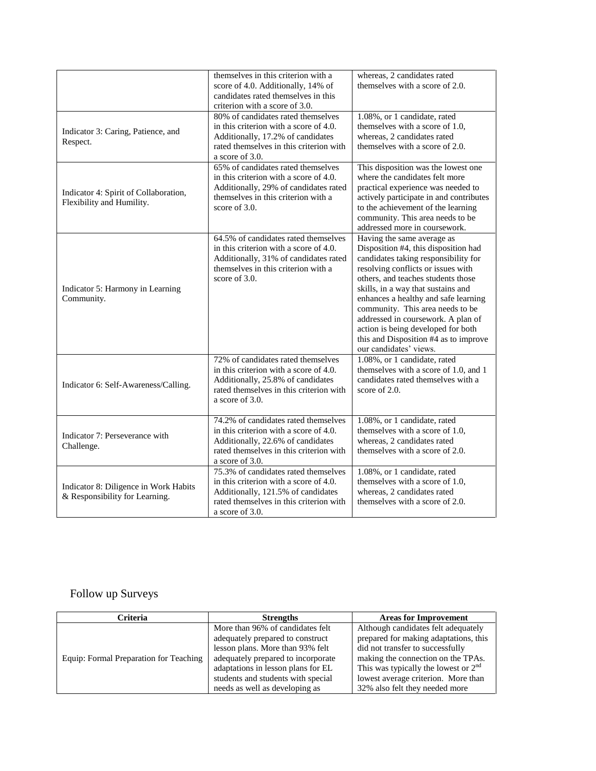|                                                                         | themselves in this criterion with a<br>score of 4.0. Additionally, 14% of<br>candidates rated themselves in this<br>criterion with a score of 3.0.                                    | whereas, 2 candidates rated<br>themselves with a score of 2.0.                                                                                                                                                                                                                                                                                                                                                                                          |
|-------------------------------------------------------------------------|---------------------------------------------------------------------------------------------------------------------------------------------------------------------------------------|---------------------------------------------------------------------------------------------------------------------------------------------------------------------------------------------------------------------------------------------------------------------------------------------------------------------------------------------------------------------------------------------------------------------------------------------------------|
| Indicator 3: Caring, Patience, and<br>Respect.                          | 80% of candidates rated themselves<br>in this criterion with a score of 4.0.<br>Additionally, 17.2% of candidates<br>rated themselves in this criterion with<br>a score of $3.0$ .    | 1.08%, or 1 candidate, rated<br>themselves with a score of 1.0.<br>whereas, 2 candidates rated<br>themselves with a score of 2.0.                                                                                                                                                                                                                                                                                                                       |
| Indicator 4: Spirit of Collaboration,<br>Flexibility and Humility.      | 65% of candidates rated themselves<br>in this criterion with a score of 4.0.<br>Additionally, 29% of candidates rated<br>themselves in this criterion with a<br>score of 3.0.         | This disposition was the lowest one<br>where the candidates felt more<br>practical experience was needed to<br>actively participate in and contributes<br>to the achievement of the learning<br>community. This area needs to be<br>addressed more in coursework.                                                                                                                                                                                       |
| Indicator 5: Harmony in Learning<br>Community.                          | 64.5% of candidates rated themselves<br>in this criterion with a score of 4.0.<br>Additionally, 31% of candidates rated<br>themselves in this criterion with a<br>score of $3.0$ .    | Having the same average as<br>Disposition #4, this disposition had<br>candidates taking responsibility for<br>resolving conflicts or issues with<br>others, and teaches students those<br>skills, in a way that sustains and<br>enhances a healthy and safe learning<br>community. This area needs to be<br>addressed in coursework. A plan of<br>action is being developed for both<br>this and Disposition #4 as to improve<br>our candidates' views. |
| Indicator 6: Self-Awareness/Calling.                                    | 72% of candidates rated themselves<br>in this criterion with a score of 4.0.<br>Additionally, 25.8% of candidates<br>rated themselves in this criterion with<br>a score of $3.0$ .    | 1.08%, or 1 candidate, rated<br>themselves with a score of 1.0, and 1<br>candidates rated themselves with a<br>score of $2.0$ .                                                                                                                                                                                                                                                                                                                         |
| Indicator 7: Perseverance with<br>Challenge.                            | 74.2% of candidates rated themselves<br>in this criterion with a score of 4.0.<br>Additionally, 22.6% of candidates<br>rated themselves in this criterion with<br>a score of 3.0.     | 1.08%, or 1 candidate, rated<br>themselves with a score of 1.0,<br>whereas, 2 candidates rated<br>themselves with a score of 2.0.                                                                                                                                                                                                                                                                                                                       |
| Indicator 8: Diligence in Work Habits<br>& Responsibility for Learning. | 75.3% of candidates rated themselves<br>in this criterion with a score of 4.0.<br>Additionally, 121.5% of candidates<br>rated themselves in this criterion with<br>a score of $3.0$ . | 1.08%, or 1 candidate, rated<br>themselves with a score of 1.0.<br>whereas, 2 candidates rated<br>themselves with a score of 2.0.                                                                                                                                                                                                                                                                                                                       |

## Follow up Surveys

| <b>Criteria</b>                        | <b>Strengths</b>                   | <b>Areas for Improvement</b>           |
|----------------------------------------|------------------------------------|----------------------------------------|
|                                        | More than 96% of candidates felt   | Although candidates felt adequately    |
| Equip: Formal Preparation for Teaching | adequately prepared to construct   | prepared for making adaptations, this  |
|                                        | lesson plans. More than 93% felt   | did not transfer to successfully       |
|                                        | adequately prepared to incorporate | making the connection on the TPAs.     |
|                                        | adaptations in lesson plans for EL | This was typically the lowest or $2nd$ |
|                                        | students and students with special | lowest average criterion. More than    |
|                                        | needs as well as developing as     | 32% also felt they needed more         |